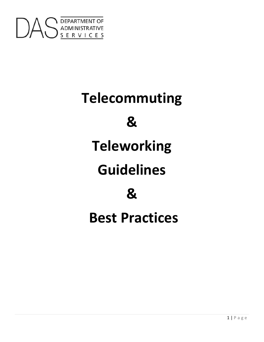

# **Telecommuting**

**&**

# **Teleworking**

# **Guidelines**

**&** 

**Best Practices**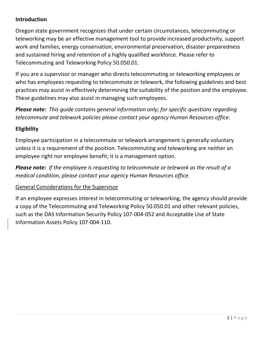# **Introduction**

Oregon state government recognizes that under certain circumstances, telecommuting or teleworking may be an effective management tool to provide increased productivity, support work and families, energy conservation, environmental preservation, disaster preparedness and sustained hiring and retention of a highly qualified workforce. Please refer to Telecommuting and Teleworking Policy 50.050.01.

If you are a supervisor or manager who directs telecommuting or teleworking employees or who has employees requesting to telecommute or telework, the following guidelines and best practices may assist in effectively determining the suitability of the position and the employee. These guidelines may also assist in managing such employees.

*Please note: This guide contains general information only; for specific questions regarding telecommute and telework policies please contact your agency Human Resources office.*

# **Eligibility**

Employee participation in a telecommute or telework arrangement is generally voluntary unless it is a requirement of the position. Telecommuting and teleworking are neither an employee right nor employee benefit; it is a management option.

*Please note: If the employee is requesting to telecommute or telework as the result of a medical condition, please contact your agency Human Resources office.* 

# General Considerations for the Supervisor

If an employee expresses interest in telecommuting or teleworking, the agency should provide a copy of the Telecommuting and Teleworking Policy 50.050.01 and other relevant policies, such as the DAS Information Security Policy 107-004-052 and Acceptable Use of State Information Assets Policy 107-004-110.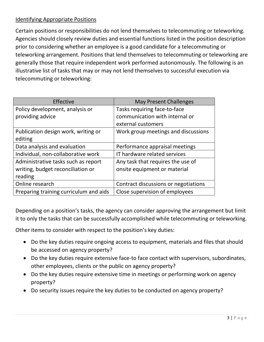# Identifying Appropriate Positions

Certain positions or responsibilities do not lend themselves to telecommuting or teleworking. Agencies should closely review duties and essential functions listed in the position description prior to considering whether an employee is a good candidate for a telecommuting or teleworking arrangement. Positions that lend themselves to telecommuting or teleworking are generally those that require independent work performed autonomously. The following is an illustrative list of tasks that may or may not lend themselves to successful execution via telecommuting or teleworking:

| Effective                              | <b>May Present Challenges</b>        |
|----------------------------------------|--------------------------------------|
| Policy development, analysis or        | Tasks requiring face-to-face         |
| providing advice                       | communication with internal or       |
|                                        | external customers                   |
| Publication design work, writing or    | Work group meetings and discussions  |
| editing                                |                                      |
| Data analysis and evaluation           | Performance appraisal meetings       |
| Individual, non-collaborative work     | IT hardware related services         |
| Administrative tasks such as report    | Any task that requires the use of    |
| writing, budget reconciliation or      | onsite equipment or material         |
| reading                                |                                      |
| Online research                        | Contract discussions or negotiations |
| Preparing training curriculum and aids | Close supervision of employees       |

Depending on a position's tasks, the agency can consider approving the arrangement but limit it to only the tasks that can be successfully accomplished while telecommuting or teleworking.

Other items to consider with respect to the position's key duties:

- Do the key duties require ongoing access to equipment, materials and files that should be accessed on agency property?
- Do the key duties require extensive face-to face contact with supervisors, subordinates, other employees, clients or the public on agency property?
- Do the key duties require extensive time in meetings or performing work on agency property?
- Do security issues require the key duties to be conducted on agency property?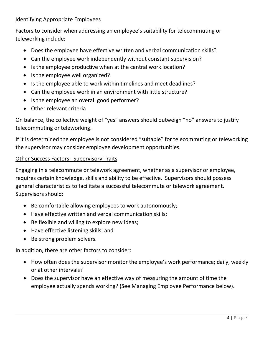### Identifying Appropriate Employees

Factors to consider when addressing an employee's suitability for telecommuting or teleworking include:

- Does the employee have effective written and verbal communication skills?
- Can the employee work independently without constant supervision?
- Is the employee productive when at the central work location?
- Is the employee well organized?
- Is the employee able to work within timelines and meet deadlines?
- Can the employee work in an environment with little structure?
- Is the employee an overall good performer?
- Other relevant criteria

On balance, the collective weight of "yes" answers should outweigh "no" answers to justify telecommuting or teleworking.

If it is determined the employee is not considered "suitable" for telecommuting or teleworking the supervisor may consider employee development opportunities.

#### Other Success Factors: Supervisory Traits

Engaging in a telecommute or telework agreement, whether as a supervisor or employee, requires certain knowledge, skills and ability to be effective. Supervisors should possess general characteristics to facilitate a successful telecommute or telework agreement. Supervisors should:

- Be comfortable allowing employees to work autonomously;
- Have effective written and verbal communication skills;
- Be flexible and willing to explore new ideas;
- Have effective listening skills; and
- Be strong problem solvers.

In addition, there are other factors to consider:

- How often does the supervisor monitor the employee's work performance; daily, weekly or at other intervals?
- Does the supervisor have an effective way of measuring the amount of time the employee actually spends working? (See Managing Employee Performance below).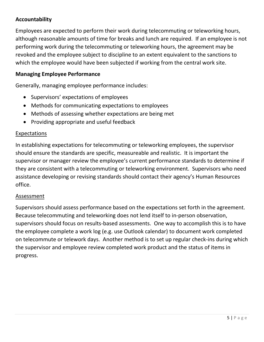# **Accountability**

Employees are expected to perform their work during telecommuting or teleworking hours, although reasonable amounts of time for breaks and lunch are required. If an employee is not performing work during the telecommuting or teleworking hours, the agreement may be revoked and the employee subject to discipline to an extent equivalent to the sanctions to which the employee would have been subjected if working from the central work site.

### **Managing Employee Performance**

Generally, managing employee performance includes:

- Supervisors' expectations of employees
- Methods for communicating expectations to employees
- Methods of assessing whether expectations are being met
- Providing appropriate and useful feedback

#### Expectations

In establishing expectations for telecommuting or teleworking employees, the supervisor should ensure the standards are specific, measureable and realistic. It is important the supervisor or manager review the employee's current performance standards to determine if they are consistent with a telecommuting or teleworking environment. Supervisors who need assistance developing or revising standards should contact their agency's Human Resources office.

#### **Assessment**

Supervisors should assess performance based on the expectations set forth in the agreement. Because telecommuting and teleworking does not lend itself to in-person observation, supervisors should focus on results-based assessments. One way to accomplish this is to have the employee complete a work log (e.g. use Outlook calendar) to document work completed on telecommute or telework days. Another method is to set up regular check-ins during which the supervisor and employee review completed work product and the status of items in progress.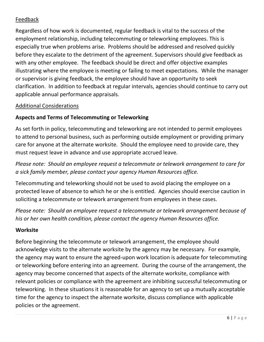# Feedback

Regardless of how work is documented, regular feedback is vital to the success of the employment relationship, including telecommuting or teleworking employees. This is especially true when problems arise. Problems should be addressed and resolved quickly before they escalate to the detriment of the agreement. Supervisors should give feedback as with any other employee. The feedback should be direct and offer objective examples illustrating where the employee is meeting or failing to meet expectations. While the manager or supervisor is giving feedback, the employee should have an opportunity to seek clarification. In addition to feedback at regular intervals, agencies should continue to carry out applicable annual performance appraisals.

### Additional Considerations

# **Aspects and Terms of Telecommuting or Teleworking**

As set forth in policy, telecommuting and teleworking are not intended to permit employees to attend to personal business, such as performing outside employment or providing primary care for anyone at the alternate worksite. Should the employee need to provide care, they must request leave in advance and use appropriate accrued leave.

*Please note: Should an employee request a telecommute or telework arrangement to care for a sick family member, please contact your agency Human Resources office.* 

Telecommuting and teleworking should not be used to avoid placing the employee on a protected leave of absence to which he or she is entitled. Agencies should exercise caution in soliciting a telecommute or telework arrangement from employees in these cases.

*Please note: Should an employee request a telecommute or telework arrangement because of his or her own health condition, please contact the agency Human Resources office.* 

#### **Worksite**

Before beginning the telecommute or telework arrangement, the employee should acknowledge visits to the alternate worksite by the agency may be necessary. For example, the agency may want to ensure the agreed-upon work location is adequate for telecommuting or teleworking before entering into an agreement. During the course of the arrangement, the agency may become concerned that aspects of the alternate worksite, compliance with relevant policies or compliance with the agreement are inhibiting successful telecommuting or teleworking. In these situations it is reasonable for an agency to set up a mutually acceptable time for the agency to inspect the alternate worksite, discuss compliance with applicable policies or the agreement.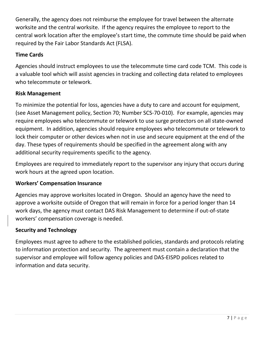Generally, the agency does not reimburse the employee for travel between the alternate worksite and the central worksite. If the agency requires the employee to report to the central work location after the employee's start time, the commute time should be paid when required by the Fair Labor Standards Act (FLSA).

# **Time Cards**

Agencies should instruct employees to use the telecommute time card code TCM. This code is a valuable tool which will assist agencies in tracking and collecting data related to employees who telecommute or telework.

# **Risk Management**

To minimize the potential for loss, agencies have a duty to care and account for equipment, (see Asset Management policy, Section 70; Number SCS-70-010). For example, agencies may require employees who telecommute or telework to use surge protectors on all state-owned equipment. In addition, agencies should require employees who telecommute or telework to lock their computer or other devices when not in use and secure equipment at the end of the day. These types of requirements should be specified in the agreement along with any additional security requirements specific to the agency.

Employees are required to immediately report to the supervisor any injury that occurs during work hours at the agreed upon location.

# **Workers' Compensation Insurance**

Agencies may approve worksites located in Oregon. Should an agency have the need to approve a worksite outside of Oregon that will remain in force for a period longer than 14 work days, the agency must contact DAS Risk Management to determine if out-of-state workers' compensation coverage is needed.

# **Security and Technology**

Employees must agree to adhere to the established policies, standards and protocols relating to information protection and security. The agreement must contain a declaration that the supervisor and employee will follow agency policies and DAS-EISPD polices related to information and data security.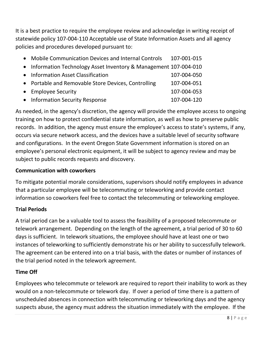It is a best practice to require the employee review and acknowledge in writing receipt of statewide policy 107-004-110 Acceptable use of State Information Assets and all agency policies and procedures developed pursuant to:

• Mobile Communication Devices and Internal Controls 107-001-015 • Information Technology Asset Inventory & Management 107-004-010 • Information Asset Classification 107-004-050 • Portable and Removable Store Devices, Controlling 107-004-051 • Employee Security 107-004-053 • Information Security Response 107-004-120

As needed, in the agency's discretion, the agency will provide the employee access to ongoing training on how to protect confidential state information, as well as how to preserve public records. In addition, the agency must ensure the employee's access to state's systems, if any, occurs via secure network access, and the devices have a suitable level of security software and configurations. In the event Oregon State Government information is stored on an employee's personal electronic equipment, it will be subject to agency review and may be subject to public records requests and discovery.

# **Communication with coworkers**

To mitigate potential morale considerations, supervisors should notify employees in advance that a particular employee will be telecommuting or teleworking and provide contact information so coworkers feel free to contact the telecommuting or teleworking employee.

# **Trial Periods**

A trial period can be a valuable tool to assess the feasibility of a proposed telecommute or telework arrangement. Depending on the length of the agreement, a trial period of 30 to 60 days is sufficient. In telework situations, the employee should have at least one or two instances of teleworking to sufficiently demonstrate his or her ability to successfully telework. The agreement can be entered into on a trial basis, with the dates or number of instances of the trial period noted in the telework agreement.

# **Time Off**

Employees who telecommute or telework are required to report their inability to work as they would on a non-telecommute or telework day. If over a period of time there is a pattern of unscheduled absences in connection with telecommuting or teleworking days and the agency suspects abuse, the agency must address the situation immediately with the employee. If the